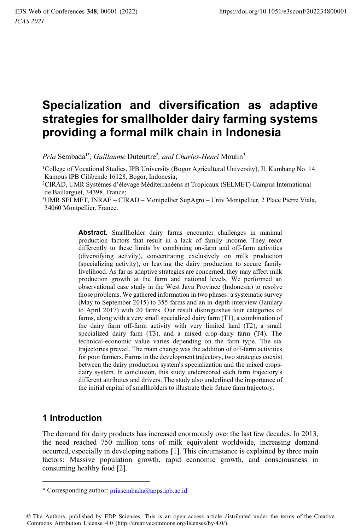# **Specialization and diversification as adaptive strategies for smallholder dairy farming systems providing a formal milk chain in Indonesia**

*Pria Sembada<sup>1\*</sup>, Guillaume Duteurtre<sup>2</sup>, and Charles-Henri Moulin<sup>3</sup>* 

1College of Vocational Studies, IPB University (Bogor Agricultural University), Jl. Kumbang No. 14 Kampus IPB Cilibende 16128, Bogor, Indonesia;<br><sup>2</sup>CIRAD, UMR Systèmes d'élevage Méditerranéens et Tropicaux (SELMET) Campus International

de Baillarguet, 34398, France;

3UMR SELMET, INRAE – CIRAD – Montpellier SupAgro – Univ Montpellier, 2 Place Pierre Viala, 34060 Montpellier, France.

> **Abstract.** Smallholder dairy farms encounter challenges in minimal production factors that result in a lack of family income. They react differently to these limits by combining on-farm and off-farm activities (diversifying activity), concentrating exclusively on milk production (specializing activity), or leaving the dairy production to secure family livelihood. As far as adaptive strategies are concerned, they may affect milk production growth at the farm and national levels. We performed an observational case study in the West Java Province (Indonesia) to resolve those problems. We gathered information in two phases: a systematic survey (May to September 2015) to 355 farms and an in-depth interview (January to April 2017) with 20 farms. Our result distinguishes four categories of farms, along with a very small specialized dairy farm (T1), a combination of the dairy farm off-farm activity with very limited land (T2), a small specialized dairy farm (T3), and a mixed crop-dairy farm (T4). The technical-economic value varies depending on the farm type. The six trajectories prevail. The main change was the addition of off-farm activities for poor farmers. Farms in the development trajectory, two strategies coexist between the dairy production system's specialization and the mixed cropsdairy system. In conclusion, this study underscored each farm trajectory's different attributes and drivers. The study also underlined the importance of the initial capital of smallholders to illustrate their future farm trajectory.

## **1 Introduction**

The demand for dairy products has increased enormously over the last few decades. In 2013, the need reached 750 million tons of milk equivalent worldwide, increasing demand occurred, especially in developing nations [1]. This circumstance is explained by three main factors: Massive population growth, rapid economic growth, and consciousness in consuming healthy food [2].

© The Authors, published by EDP Sciences. This is an open access article distributed under the terms of the Creative Commons Attribution License 4.0 (http://creativecommons.org/licenses/by/4.0/).

<sup>\*</sup> Corresponding author: priasembada@apps.ipb.ac.id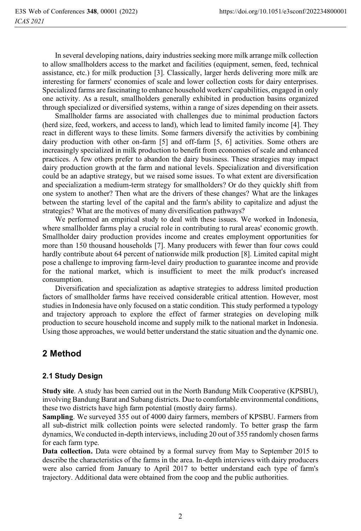In several developing nations, dairy industries seeking more milk arrange milk collection to allow smallholders access to the market and facilities (equipment, semen, feed, technical assistance, etc.) for milk production [3]. Classically, larger herds delivering more milk are interesting for farmers' economies of scale and lower collection costs for dairy enterprises. Specialized farms are fascinating to enhance household workers' capabilities, engaged in only one activity. As a result, smallholders generally exhibited in production basins organized through specialized or diversified systems, within a range of sizes depending on their assets.

 Smallholder farms are associated with challenges due to minimal production factors (herd size, feed, workers, and access to land), which lead to limited family income [4]. They react in different ways to these limits. Some farmers diversify the activities by combining dairy production with other on-farm [5] and off-farm [5, 6] activities. Some others are increasingly specialized in milk production to benefit from economies of scale and enhanced practices. A few others prefer to abandon the dairy business. These strategies may impact dairy production growth at the farm and national levels. Specialization and diversification could be an adaptive strategy, but we raised some issues. To what extent are diversification and specialization a medium-term strategy for smallholders? Or do they quickly shift from one system to another? Then what are the drivers of these changes? What are the linkages between the starting level of the capital and the farm's ability to capitalize and adjust the strategies? What are the motives of many diversification pathways?

We performed an empirical study to deal with these issues. We worked in Indonesia, where smallholder farms play a crucial role in contributing to rural areas' economic growth. Smallholder dairy production provides income and creates employment opportunities for more than 150 thousand households [7]. Many producers with fewer than four cows could hardly contribute about 64 percent of nationwide milk production [8]. Limited capital might pose a challenge to improving farm-level dairy production to guarantee income and provide for the national market, which is insufficient to meet the milk product's increased consumption.

Diversification and specialization as adaptive strategies to address limited production factors of smallholder farms have received considerable critical attention. However, most studies in Indonesia have only focused on a static condition. This study performed a typology and trajectory approach to explore the effect of farmer strategies on developing milk production to secure household income and supply milk to the national market in Indonesia. Using those approaches, we would better understand the static situation and the dynamic one.

# **2 Method**

## **2.1 Study Design**

**Study site**. A study has been carried out in the North Bandung Milk Cooperative (KPSBU), involving Bandung Barat and Subang districts. Due to comfortable environmental conditions, these two districts have high farm potential (mostly dairy farms).

**Sampling**. We surveyed 355 out of 4000 dairy farmers, members of KPSBU. Farmers from all sub-district milk collection points were selected randomly. To better grasp the farm dynamics, We conducted in-depth interviews, including 20 out of 355 randomly chosen farms for each farm type.

**Data collection.** Data were obtained by a formal survey from May to September 2015 to describe the characteristics of the farms in the area. In-depth interviews with dairy producers were also carried from January to April 2017 to better understand each type of farm's trajectory. Additional data were obtained from the coop and the public authorities.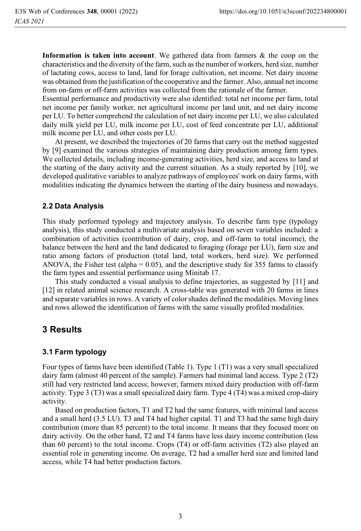**Information is taken into account**. We gathered data from farmers & the coop on the characteristics and the diversity of the farm, such as the number of workers, herd size, number of lactating cows, access to land, land for forage cultivation, net income. Net dairy income was obtained from the justification of the cooperative and the farmer. Also, annual net income from on-farm or off-farm activities was collected from the rationale of the farmer.

Essential performance and productivity were also identified: total net income per farm, total net income per family worker, net agricultural income per land unit, and net dairy income per LU. To better comprehend the calculation of net dairy income per LU, we also calculated daily milk yield per LU, milk income per LU, cost of feed concentrate per LU, additional milk income per LU, and other costs per LU.

 At present, we described the trajectories of 20 farms that carry out the method suggested by [9] examined the various strategies of maintaining dairy production among farm types. We collected details, including income-generating activities, herd size, and access to land at the starting of the dairy activity and the current situation. As a study reported by [10], we developed qualitative variables to analyze pathways of employees' work on dairy farms, with modalities indicating the dynamics between the starting of the dairy business and nowadays.

## **2.2 Data Analysis**

This study performed typology and trajectory analysis. To describe farm type (typology analysis), this study conducted a multivariate analysis based on seven variables included: a combination of activities (contribution of dairy, crop, and off-farm to total income), the balance between the herd and the land dedicated to foraging (forage per LU), farm size and ratio among factors of production (total land, total workers, herd size). We performed ANOVA, the Fisher test (alpha =  $0.05$ ), and the descriptive study for 355 farms to classify the farm types and essential performance using Minitab 17.

 This study conducted a visual analysis to define trajectories, as suggested by [11] and [12] in related animal science research. A cross-table was generated with 20 farms in lines and separate variables in rows. A variety of color shades defined the modalities. Moving lines and rows allowed the identification of farms with the same visually profiled modalities.

## **3 Results**

### **3.1 Farm typology**

Four types of farms have been identified (Table 1). Type 1 (T1) was a very small specialized dairy farm (almost 40 percent of the sample). Farmers had minimal land access. Type 2 (T2) still had very restricted land access; however, farmers mixed dairy production with off-farm activity. Type 3 (T3) was a small specialized dairy farm. Type 4 (T4) was a mixed crop-dairy activity.

Based on production factors, T1 and T2 had the same features, with minimal land access and a small herd (3.5 LU). T3 and T4 had higher capital. T1 and T3 had the same high dairy contribution (more than 85 percent) to the total income. It means that they focused more on dairy activity. On the other hand, T2 and T4 farms have less dairy income contribution (less than 60 percent) to the total income. Crops (T4) or off-farm activities (T2) also played an essential role in generating income. On average, T2 had a smaller herd size and limited land access, while T4 had better production factors.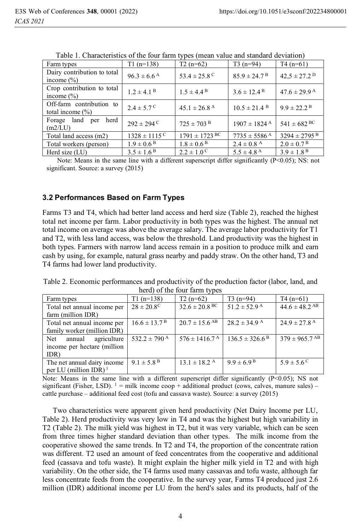| I able 1. Characteristics of the four family types (fileall value and standard deviation) |                               |                              |                              |                              |  |  |
|-------------------------------------------------------------------------------------------|-------------------------------|------------------------------|------------------------------|------------------------------|--|--|
| Farm types                                                                                | $T1(n=138)$                   | $T2(n=62)$                   | $T3(n=94)$                   | $T4(n=61)$                   |  |  |
| Dairy contribution to total<br>income $(\% )$                                             | $96.3 \pm 6.6^{\,\mathrm{A}}$ | 53.4 $\pm$ 25.8 <sup>C</sup> | $85.9 \pm 24.7$ <sup>B</sup> | $42,5 \pm 27.2$ <sup>D</sup> |  |  |
| Crop contribution to total<br>income $(\% )$                                              | $1.2 \pm 4.1$ <sup>B</sup>    | $1.5 \pm 4.4^{\,\rm B}$      | $3.6 \pm 12.4$ <sup>B</sup>  | $47.6 \pm 29.9$ <sup>A</sup> |  |  |
| Off-farm contribution to<br>total income $(\% )$                                          | $2.4 \pm 5.7^{\circ}$         | $45.1 \pm 26.8$ <sup>A</sup> | $10.5 \pm 21.4$ <sup>B</sup> | $9.9 \pm 22.2$ <sup>B</sup>  |  |  |
| herd<br>land<br>Forage<br>per<br>(m2/LU)                                                  | $292 \pm 294$ C               | $725 \pm 703$ <sup>B</sup>   | $1907 \pm 1824$ <sup>A</sup> | $541 \pm 682$ BC             |  |  |
| Total land access (m2)                                                                    | $1328 \pm 1115$ <sup>C</sup>  | $1791 \pm 1723$ BC           | $7735 \pm 5586$ <sup>A</sup> | $3294 \pm 2795$ <sup>B</sup> |  |  |
| Total workers (person)                                                                    | $1.9 \pm 0.6^{\,\rm B}$       | $1.8 \pm 0.6^{\,\rm B}$      | $2.4 \pm 0.8$ <sup>A</sup>   | $2.0 \pm 0.7^{\,\rm B}$      |  |  |
| Herd size (LU)                                                                            | $3.5 \pm 1.6^{\,\rm B}$       | $2.2 \pm 1.0^{\degree}$      | $5.5 \pm 4.8$ <sup>A</sup>   | $3.9 \pm 1.8$ <sup>B</sup>   |  |  |

Table 1. Characteristics of the four farm types (mean value and standard deviation)

Note: Means in the same line with a different superscript differ significantly  $(P<0.05)$ ; NS: not significant. Source: a survey (2015)

#### **3.2 Performances Based on Farm Types**

Farms T3 and T4, which had better land access and herd size (Table 2), reached the highest total net income per farm. Labor productivity in both types was the highest. The annual net total income on average was above the average salary. The average labor productivity for T1 and T2, with less land access, was below the threshold. Land productivity was the highest in both types. Farmers with narrow land access remain in a position to produce milk and earn cash by using, for example, natural grass nearby and paddy straw. On the other hand, T3 and T4 farms had lower land productivity.

Table 2. Economic performances and productivity of the production factor (labor, land, and herd) of the four farm types

| Farm types                        | $T1(n=138)$                    | $T2(n=62)$                    | $T3(n=94)$                     | $T4(n=61)$                   |
|-----------------------------------|--------------------------------|-------------------------------|--------------------------------|------------------------------|
| Total net annual income per       | $28 \pm 20.8^{\circ}$          | $32.6 \pm 20.8$ BC            | $51.2 \pm 52.9$ <sup>A</sup>   | $44.6 \pm 48.2$ AB           |
| farm (million IDR)                |                                |                               |                                |                              |
| Total net annual income per       | $16.6 \pm 13.7^{\,\mathrm{B}}$ | $20.7 \pm 15.6$ <sup>AB</sup> | $28.2 \pm 34.9$ A              | $24.9 \pm 27.8$ <sup>A</sup> |
| family worker (million IDR)       |                                |                               |                                |                              |
| agriculture<br>annual<br>Net      | 532.2 $\pm$ 790 <sup>A</sup>   | $576 \pm 1416.7^{\text{A}}$   | $136.5 \pm 326.6$ <sup>B</sup> | $379 \pm 965.7$ AB           |
| income per hectare (million)      |                                |                               |                                |                              |
| IDR)                              |                                |                               |                                |                              |
| The net annual dairy income       | $9.1 \pm 5.8$ <sup>B</sup>     | $13.1 \pm 18.2$ <sup>A</sup>  | $9.9 \pm 6.9^{\,\rm B}$        | $5.9 \pm 5.6^{\circ}$        |
| per LU (million IDR) <sup>1</sup> |                                |                               |                                |                              |

Note: Means in the same line with a different superscript differ significantly  $(P< 0.05)$ ; NS not significant (Fisher, LSD).  $1 =$  milk income coop + additional product (cows, calves, manure sales) – cattle purchase – additional feed cost (tofu and cassava waste). Source: a survey (2015)

Two characteristics were apparent given herd productivity (Net Dairy Income per LU, Table 2). Herd productivity was very low in T4 and was the highest but high variability in T2 (Table 2). The milk yield was highest in T2, but it was very variable, which can be seen from three times higher standard deviation than other types. The milk income from the cooperative showed the same trends. In T2 and T4, the proportion of the concentrate ration was different. T2 used an amount of feed concentrates from the cooperative and additional feed (cassava and tofu waste). It might explain the higher milk yield in T2 and with high variability. On the other side, the T4 farms used many cassavas and tofu waste, although far less concentrate feeds from the cooperative. In the survey year, Farms T4 produced just 2.6 million (IDR) additional income per LU from the herd's sales and its products, half of the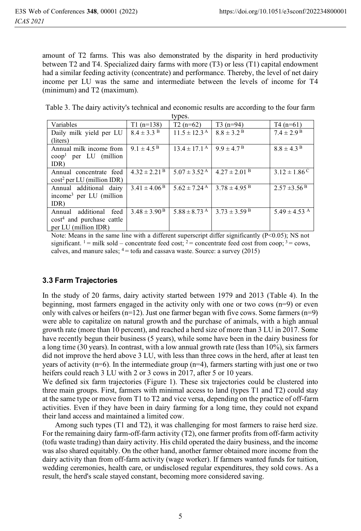amount of T2 farms. This was also demonstrated by the disparity in herd productivity between T2 and T4. Specialized dairy farms with more (T3) or less (T1) capital endowment had a similar feeding activity (concentrate) and performance. Thereby, the level of net dairy income per LU was the same and intermediate between the levels of income for T4 (minimum) and T2 (maximum).

Table 3. The dairy activity's technical and economic results are according to the four farm

| types.                              |                                |                              |                              |                              |  |  |  |
|-------------------------------------|--------------------------------|------------------------------|------------------------------|------------------------------|--|--|--|
| Variables                           | $T1(n=138)$                    | $T2(n=62)$                   | $T3(n=94)$                   | $T4(n=61)$                   |  |  |  |
| Daily milk yield per LU             | $8.4 \pm 3.3$ B                | $11.5 \pm 12.3$ <sup>A</sup> | $8.8 \pm 3.2$ <sup>B</sup>   | $7.4 \pm 2.9$ <sup>B</sup>   |  |  |  |
| (liters)                            |                                |                              |                              |                              |  |  |  |
| Annual milk income from             | $9.1 \pm 4.5^{\,\rm B}$        | $13.4 \pm 17.1^{\text{A}}$   | $9.9 \pm 4.7^{\,\rm B}$      | $8.8 \pm 4.3$ <sup>B</sup>   |  |  |  |
| $coop1$ per LU (million             |                                |                              |                              |                              |  |  |  |
| IDR)                                |                                |                              |                              |                              |  |  |  |
| Annual concentrate feed             | $4.32 \pm 2.21$ <sup>B</sup>   | $5.07 \pm 3.52^{\text{A}}$   | $4.27 \pm 2.01$ B            | $3.12 \pm 1.86$ <sup>C</sup> |  |  |  |
| $cost2$ per LU (million IDR)        |                                |                              |                              |                              |  |  |  |
| Annual additional dairy             | $3.41 \pm 4.06$ <sup>B</sup>   | $5.62 \pm 7.24$ <sup>A</sup> | $3.78 \pm 4.95$ <sup>B</sup> | $2.57 \pm 3.56$ <sup>B</sup> |  |  |  |
| income <sup>3</sup> per LU (million |                                |                              |                              |                              |  |  |  |
| IDR)                                |                                |                              |                              |                              |  |  |  |
| additional feed<br>Annual           | $3.48 \pm 3.90^{\,\mathrm{B}}$ | $5.88 \pm 8.73$ <sup>A</sup> | $3.73 \pm 3.59$ <sup>B</sup> | 5.49 $\pm$ 4.53 <sup>A</sup> |  |  |  |
| $cost4$ and purchase cattle         |                                |                              |                              |                              |  |  |  |
| per LU (million IDR)                |                                |                              |                              |                              |  |  |  |

Note: Means in the same line with a different superscript differ significantly (P<0.05); NS not significant. <sup>1</sup> = milk sold – concentrate feed cost; <sup>2</sup> = concentrate feed cost from coop; <sup>3</sup> = cows, calves, and manure sales;  $4 = \text{to}$ fu and cassava waste. Source: a survey (2015)

### **3.3 Farm Trajectories**

In the study of 20 farms, dairy activity started between 1979 and 2013 (Table 4). In the beginning, most farmers engaged in the activity only with one or two cows  $(n=9)$  or even only with calves or heifers  $(n=12)$ . Just one farmer began with five cows. Some farmers  $(n=9)$ were able to capitalize on natural growth and the purchase of animals, with a high annual growth rate (more than 10 percent), and reached a herd size of more than 3 LU in 2017. Some have recently begun their business (5 years), while some have been in the dairy business for a long time (30 years). In contrast, with a low annual growth rate (less than 10%), six farmers did not improve the herd above 3 LU, with less than three cows in the herd, after at least ten years of activity ( $n=6$ ). In the intermediate group ( $n=4$ ), farmers starting with just one or two heifers could reach 3 LU with 2 or 3 cows in 2017, after 5 or 10 years.

We defined six farm trajectories (Figure 1). These six trajectories could be clustered into three main groups. First, farmers with minimal access to land (types T1 and T2) could stay at the same type or move from T1 to T2 and vice versa, depending on the practice of off-farm activities. Even if they have been in dairy farming for a long time, they could not expand their land access and maintained a limited cow.

 Among such types (T1 and T2), it was challenging for most farmers to raise herd size. For the remaining dairy farm-off-farm activity (T2), one farmer profits from off-farm activity (tofu waste trading) than dairy activity. His child operated the dairy business, and the income was also shared equitably. On the other hand, another farmer obtained more income from the dairy activity than from off-farm activity (wage worker). If farmers wanted funds for tuition, wedding ceremonies, health care, or undisclosed regular expenditures, they sold cows. As a result, the herd's scale stayed constant, becoming more considered saving.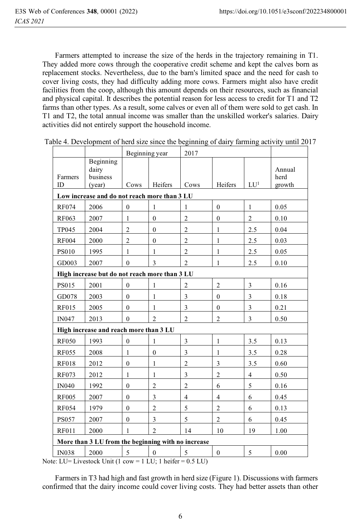Farmers attempted to increase the size of the herds in the trajectory remaining in T1. They added more cows through the cooperative credit scheme and kept the calves born as replacement stocks. Nevertheless, due to the barn's limited space and the need for cash to cover living costs, they had difficulty adding more cows. Farmers might also have credit facilities from the coop, although this amount depends on their resources, such as financial and physical capital. It describes the potential reason for less access to credit for T1 and T2 farms than other types. As a result, some calves or even all of them were sold to get cash. In T1 and T2, the total annual income was smaller than the unskilled worker's salaries. Dairy activities did not entirely support the household income.

|                                                    |                                                                                                    | Beginning year   |                | 2017                    |                |                         |                          |
|----------------------------------------------------|----------------------------------------------------------------------------------------------------|------------------|----------------|-------------------------|----------------|-------------------------|--------------------------|
| Farmers<br>ID                                      | Beginning<br>dairy<br>business<br>(vear)                                                           | Cows             | Heifers        | Cows                    | Heifers        | LU <sup>1</sup>         | Annual<br>herd<br>growth |
|                                                    | Low increase and do not reach more than 3 LU                                                       |                  |                |                         |                |                         |                          |
| <b>RF074</b>                                       | 2006                                                                                               | $\boldsymbol{0}$ | 1              | 1                       | $\mathbf{0}$   | $\mathbf{1}$            | 0.05                     |
| RF063                                              | 2007                                                                                               | $\mathbf{1}$     | $\mathbf{0}$   | $\overline{2}$          | $\mathbf{0}$   | $\overline{2}$          | 0.10                     |
| <b>TP045</b>                                       | 2004                                                                                               | $\overline{2}$   | $\theta$       | $\overline{2}$          | 1              | 2.5                     | 0.04                     |
| <b>RF004</b>                                       | 2000                                                                                               | $\overline{2}$   | $\mathbf{0}$   | $\overline{c}$          | $\mathbf{1}$   | 2.5                     | 0.03                     |
| <b>PS010</b>                                       | 1995                                                                                               | 1                | 1              | $\overline{c}$          | $\mathbf{1}$   | 2.5                     | 0.05                     |
| GD003                                              | 2007                                                                                               | $\theta$         | 3              | $\overline{2}$          | $\mathbf{1}$   | 2.5                     | 0.10                     |
| High increase but do not reach more than 3 LU      |                                                                                                    |                  |                |                         |                |                         |                          |
| PS015                                              | 2001                                                                                               | $\mathbf{0}$     | 1              | $\overline{c}$          | $\overline{2}$ | 3                       | 0.16                     |
| GD078                                              | 2003                                                                                               | $\mathbf{0}$     | 1              | 3                       | $\mathbf{0}$   | 3                       | 0.18                     |
| <b>RF015</b>                                       | 2005                                                                                               | $\mathbf{0}$     | 1              | 3                       | $\mathbf{0}$   | 3                       | 0.21                     |
| <b>IN047</b>                                       | 2013                                                                                               | $\theta$         | $\overline{2}$ | $\overline{2}$          | $\overline{2}$ | 3                       | 0.50                     |
|                                                    | High increase and reach more than 3 LU                                                             |                  |                |                         |                |                         |                          |
| <b>RF050</b>                                       | 1993                                                                                               | $\mathbf{0}$     | $\mathbf{1}$   | 3                       | $\mathbf{1}$   | 3.5                     | 0.13                     |
| <b>RF055</b>                                       | 2008                                                                                               | 1                | $\theta$       | 3                       | 1              | 3.5                     | 0.28                     |
| <b>RF018</b>                                       | 2012                                                                                               | $\boldsymbol{0}$ | 1              | $\overline{c}$          | 3              | 3.5                     | 0.60                     |
| <b>RF073</b>                                       | 2012                                                                                               | $\mathbf{1}$     | $\mathbf{1}$   | 3                       | $\overline{2}$ | $\overline{\mathbf{4}}$ | 0.50                     |
| <b>IN040</b>                                       | 1992                                                                                               | $\boldsymbol{0}$ | $\overline{c}$ | $\overline{c}$          | 6              | 5                       | 0.16                     |
| <b>RF005</b>                                       | 2007                                                                                               | $\mathbf{0}$     | 3              | $\overline{\mathbf{4}}$ | $\overline{4}$ | 6                       | 0.45                     |
| <b>RF054</b>                                       | 1979                                                                                               | $\mathbf{0}$     | $\overline{c}$ | 5                       | $\overline{2}$ | 6                       | 0.13                     |
| <b>PS057</b>                                       | 2007                                                                                               | $\boldsymbol{0}$ | 3              | 5                       | $\overline{c}$ | 6                       | 0.45                     |
| <b>RF011</b>                                       | 2000                                                                                               | 1                | $\overline{2}$ | 14                      | 10             | 19                      | 1.00                     |
| More than 3 LU from the beginning with no increase |                                                                                                    |                  |                |                         |                |                         |                          |
| <b>IN038</b>                                       | 2000<br>te: LU= Livestock Unit $(1 \text{ cow} = 1 \text{ LU}: 1 \text{ height} = 0.5 \text{ LU})$ | 5                | $\mathbf{0}$   | 5                       | $\mathbf{0}$   | 5                       | 0.00                     |

Table 4. Development of herd size since the beginning of dairy farming activity until 2017

Note: LU= Livestock Unit (1 cow = 1 LU; 1 heifer = 0.5 LU)

 Farmers in T3 had high and fast growth in herd size (Figure 1). Discussions with farmers confirmed that the dairy income could cover living costs. They had better assets than other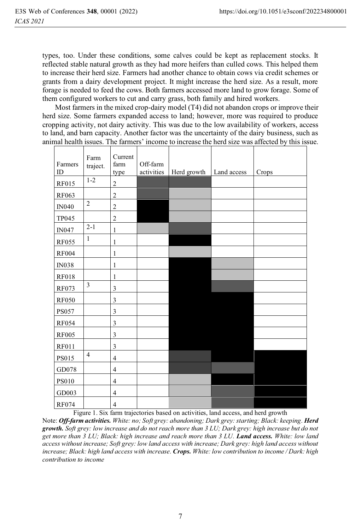types, too. Under these conditions, some calves could be kept as replacement stocks. It reflected stable natural growth as they had more heifers than culled cows. This helped them to increase their herd size. Farmers had another chance to obtain cows via credit schemes or grants from a dairy development project. It might increase the herd size. As a result, more forage is needed to feed the cows. Both farmers accessed more land to grow forage. Some of them configured workers to cut and carry grass, both family and hired workers.

 Most farmers in the mixed crop-dairy model (T4) did not abandon crops or improve their herd size. Some farmers expanded access to land; however, more was required to produce cropping activity, not dairy activity. This was due to the low availability of workers, access to land, and barn capacity. Another factor was the uncertainty of the dairy business, such as animal health issues. The farmers' income to increase the herd size was affected by this issue.

| Farmers<br>ID | Farm<br>traject. | Current<br>farm<br>type | Off-farm<br>activities | Herd growth | Land access | Crops |
|---------------|------------------|-------------------------|------------------------|-------------|-------------|-------|
| <b>RF015</b>  | $1-2$            | $\overline{c}$          |                        |             |             |       |
| RF063         |                  | $\overline{c}$          |                        |             |             |       |
| <b>IN040</b>  | $\overline{2}$   | $\overline{2}$          |                        |             |             |       |
| <b>TP045</b>  |                  | $\boldsymbol{2}$        |                        |             |             |       |
| <b>IN047</b>  | $2 - 1$          | $\mathbf{1}$            |                        |             |             |       |
| <b>RF055</b>  | $\mathbf{1}$     | 1                       |                        |             |             |       |
| <b>RF004</b>  |                  | $\mathbf{1}$            |                        |             |             |       |
| <b>IN038</b>  |                  | $\mathbf{1}$            |                        |             |             |       |
| <b>RF018</b>  |                  | $\mathbf{1}$            |                        |             |             |       |
| <b>RF073</b>  | $\mathfrak{Z}$   | $\mathfrak{Z}$          |                        |             |             |       |
| <b>RF050</b>  |                  | 3                       |                        |             |             |       |
| <b>PS057</b>  |                  | 3                       |                        |             |             |       |
| <b>RF054</b>  |                  | 3                       |                        |             |             |       |
| <b>RF005</b>  |                  | $\mathfrak{Z}$          |                        |             |             |       |
| <b>RF011</b>  |                  | $\mathfrak{Z}$          |                        |             |             |       |
| PS015         | $\overline{4}$   | $\overline{4}$          |                        |             |             |       |
| GD078         |                  | $\overline{4}$          |                        |             |             |       |
| <b>PS010</b>  |                  | $\overline{4}$          |                        |             |             |       |
| GD003         |                  | $\overline{4}$          |                        |             |             |       |
| <b>RF074</b>  |                  | $\overline{4}$          |                        |             |             |       |

Figure 1. Six farm trajectories based on activities, land access, and herd growth

Note: *Off-farm activities. White: no; Soft grey: abandoning; Dark grey: starting; Black: keeping. Herd growth. Soft grey: low increase and do not reach more than 3 LU; Dark grey: high increase but do not get more than 3 LU; Black: high increase and reach more than 3 LU. Land access. White: low land access without increase; Soft grey: low land access with increase; Dark grey: high land access without increase; Black: high land access with increase. Crops. White: low contribution to income / Dark: high contribution to income*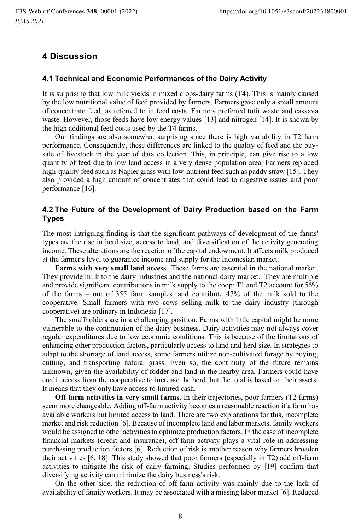## **4 Discussion**

#### **4.1 Technical and Economic Performances of the Dairy Activity**

It is surprising that low milk yields in mixed crops-dairy farms (T4). This is mainly caused by the low nutritional value of feed provided by farmers. Farmers gave only a small amount of concentrate feed, as referred to in feed costs. Farmers preferred tofu waste and cassava waste. However, those feeds have low energy values [13] and nitrogen [14]. It is shown by the high additional feed costs used by the T4 farms.

 Our findings are also somewhat surprising since there is high variability in T2 farm performance. Consequently, these differences are linked to the quality of feed and the buysale of livestock in the year of data collection. This, in principle, can give rise to a low quantity of feed due to low land access in a very dense population area. Farmers replaced high-quality feed such as Napier grass with low-nutrient feed such as paddy straw [15]. They also provided a high amount of concentrates that could lead to digestive issues and poor performance [16].

#### **4.2 The Future of the Development of Dairy Production based on the Farm Types**

The most intriguing finding is that the significant pathways of development of the farms' types are the rise in herd size, access to land, and diversification of the activity generating income. These alterations are the reaction of the capital endowment. It affects milk produced at the farmer's level to guarantee income and supply for the Indonesian market.

**Farms with very small land access**. These farms are essential in the national market. They provide milk to the dairy industries and the national dairy market. They are multiple and provide significant contributions in milk supply to the coop: T1 and T2 account for 56% of the farms – out of 355 farm samples, and contribute 47% of the milk sold to the cooperative. Small farmers with two cows selling milk to the dairy industry (through cooperative) are ordinary in Indonesia [17].

 The smallholders are in a challenging position. Farms with little capital might be more vulnerable to the continuation of the dairy business. Dairy activities may not always cover regular expenditures due to low economic conditions. This is because of the limitations of enhancing other production factors, particularly access to land and herd size. In strategies to adapt to the shortage of land access, some farmers utilize non-cultivated forage by buying, cutting, and transporting natural grass. Even so, the continuity of the future remains unknown, given the availability of fodder and land in the nearby area. Farmers could have credit access from the cooperative to increase the herd, but the total is based on their assets. It means that they only have access to limited cash.

**Off-farm activities in very small farms**. In their trajectories, poor farmers (T2 farms) seem more changeable. Adding off-farm activity becomes a reasonable reaction if a farm has available workers but limited access to land. There are two explanations for this, incomplete market and risk reduction [6]. Because of incomplete land and labor markets, family workers would be assigned to other activities to optimize production factors. In the case of incomplete financial markets (credit and insurance), off-farm activity plays a vital role in addressing purchasing production factors [6]. Reduction of risk is another reason why farmers broaden their activities [6, 18]. This study showed that poor farmers (especially in T2) add off-farm activities to mitigate the risk of dairy farming. Studies performed by [19] confirm that diversifying activity can minimize the dairy business's risk.

 On the other side, the reduction of off-farm activity was mainly due to the lack of availability of family workers. It may be associated with a missing labor market [6]. Reduced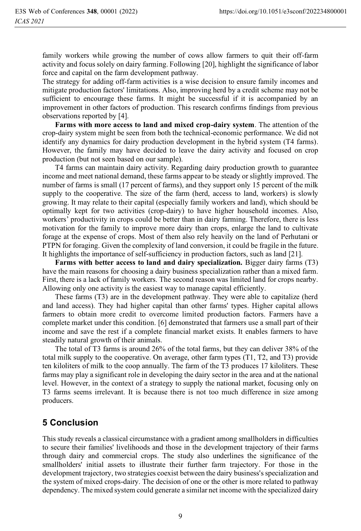family workers while growing the number of cows allow farmers to quit their off-farm activity and focus solely on dairy farming. Following [20], highlight the significance of labor force and capital on the farm development pathway.

The strategy for adding off-farm activities is a wise decision to ensure family incomes and mitigate production factors' limitations. Also, improving herd by a credit scheme may not be sufficient to encourage these farms. It might be successful if it is accompanied by an improvement in other factors of production. This research confirms findings from previous observations reported by [4].

**Farms with more access to land and mixed crop-dairy system**. The attention of the crop-dairy system might be seen from both the technical-economic performance. We did not identify any dynamics for dairy production development in the hybrid system (T4 farms). However, the family may have decided to leave the dairy activity and focused on crop production (but not seen based on our sample).

T4 farms can maintain dairy activity. Regarding dairy production growth to guarantee income and meet national demand, these farms appear to be steady or slightly improved. The number of farms is small (17 percent of farms), and they support only 15 percent of the milk supply to the cooperative. The size of the farm (herd, access to land, workers) is slowly growing. It may relate to their capital (especially family workers and land), which should be optimally kept for two activities (crop-dairy) to have higher household incomes. Also, workers' productivity in crops could be better than in dairy farming. Therefore, there is less motivation for the family to improve more dairy than crops, enlarge the land to cultivate forage at the expense of crops. Most of them also rely heavily on the land of Perhutani or PTPN for foraging. Given the complexity of land conversion, it could be fragile in the future. It highlights the importance of self-sufficiency in production factors, such as land [21].

**Farms with better access to land and dairy specialization.** Bigger dairy farms (T3) have the main reasons for choosing a dairy business specialization rather than a mixed farm. First, there is a lack of family workers. The second reason was limited land for crops nearby. Allowing only one activity is the easiest way to manage capital efficiently.

 These farms (T3) are in the development pathway. They were able to capitalize (herd and land access). They had higher capital than other farms' types. Higher capital allows farmers to obtain more credit to overcome limited production factors. Farmers have a complete market under this condition. [6] demonstrated that farmers use a small part of their income and save the rest if a complete financial market exists. It enables farmers to have steadily natural growth of their animals.

The total of T3 farms is around 26% of the total farms, but they can deliver 38% of the total milk supply to the cooperative. On average, other farm types (T1, T2, and T3) provide ten kiloliters of milk to the coop annually. The farm of the T3 produces 17 kiloliters. These farms may play a significant role in developing the dairy sector in the area and at the national level. However, in the context of a strategy to supply the national market, focusing only on T3 farms seems irrelevant. It is because there is not too much difference in size among producers.

## **5 Conclusion**

This study reveals a classical circumstance with a gradient among smallholders in difficulties to secure their families' livelihoods and those in the development trajectory of their farms through dairy and commercial crops. The study also underlines the significance of the smallholders' initial assets to illustrate their further farm trajectory. For those in the development trajectory, two strategies coexist between the dairy business's specialization and the system of mixed crops-dairy. The decision of one or the other is more related to pathway dependency. The mixed system could generate a similar net income with the specialized dairy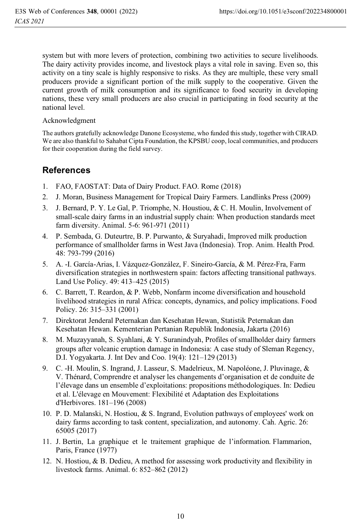system but with more levers of protection, combining two activities to secure livelihoods. The dairy activity provides income, and livestock plays a vital role in saving. Even so, this activity on a tiny scale is highly responsive to risks. As they are multiple, these very small producers provide a significant portion of the milk supply to the cooperative. Given the current growth of milk consumption and its significance to food security in developing nations, these very small producers are also crucial in participating in food security at the national level.

#### Acknowledgment

The authors gratefully acknowledge Danone Ecosysteme, who funded this study, together with CIRAD. We are also thankful to Sahabat Cipta Foundation, the KPSBU coop, local communities, and producers for their cooperation during the field survey.

## **References**

- 1. FAO, FAOSTAT: Data of Dairy Product. FAO. Rome (2018)
- 2. J. Moran, Business Management for Tropical Dairy Farmers. Landlinks Press (2009)
- 3. J. Bernard, P. Y. Le Gal, P. Triomphe, N. Houstiou, & C. H. Moulin, Involvement of small-scale dairy farms in an industrial supply chain: When production standards meet farm diversity. Animal. 5-6: 961-971 (2011)
- 4. P. Sembada, G. Duteurtre, B. P. Purwanto, & Suryahadi, Improved milk production performance of smallholder farms in West Java (Indonesia). Trop. Anim. Health Prod. 48: 793-799 (2016)
- 5. A. -I. García-Arias, I. Vázquez-González, F. Sineiro-García, & M. Pérez-Fra, Farm diversification strategies in northwestern spain: factors affecting transitional pathways. Land Use Policy. 49: 413–425 (2015)
- 6. C. Barrett, T. Reardon, & P. Webb, Nonfarm income diversification and household livelihood strategies in rural Africa: concepts, dynamics, and policy implications. Food Policy. 26: 315–331 (2001)
- 7. Direktorat Jenderal Peternakan dan Kesehatan Hewan, Statistik Peternakan dan Kesehatan Hewan. Kementerian Pertanian Republik Indonesia, Jakarta (2016)
- 8. M. Muzayyanah, S. Syahlani, & Y. Suranindyah, Profiles of smallholder dairy farmers groups after volcanic eruption damage in Indonesia: A case study of Sleman Regency, D.I. Yogyakarta. J. Int Dev and Coo. 19(4): 121–129 (2013)
- 9. C. -H. Moulin, S. Ingrand, J. Lasseur, S. Madelrieux, M. Napoléone, J. Pluvinage, & V. Thénard, Comprendre et analyser les changements d'organisation et de conduite de l'élevage dans un ensemble d'exploitations: propositions méthodologiques. In: Dedieu et al. L'élevage en Mouvement: Flexibilité et Adaptation des Exploitations d'Herbivores. 181–196 (2008)
- 10. P. D. Malanski, N. Hostiou, & S. Ingrand, Evolution pathways of employees' work on dairy farms according to task content, specialization, and autonomy. Cah. Agric. 26: 65005 (2017)
- 11. J. Bertin, La graphique et le traitement graphique de l'information. Flammarion, Paris, France (1977)
- 12. N. Hostiou, & B. Dedieu, A method for assessing work productivity and flexibility in livestock farms. Animal. 6: 852–862 (2012)